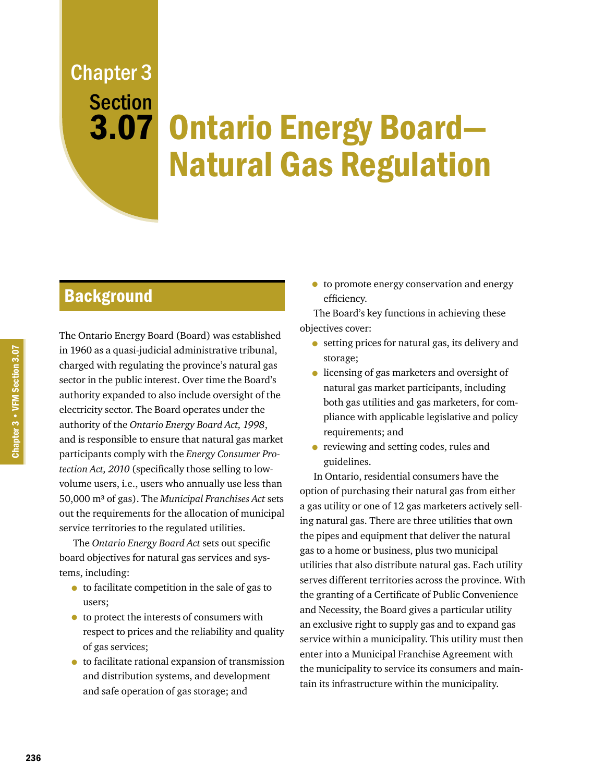# Chapter 3 **Section**

# 3.07 Ontario Energy Board-Natural Gas Regulation

## **Background**

The Ontario Energy Board (Board) was established in 1960 as a quasi-judicial administrative tribunal, charged with regulating the province's natural gas sector in the public interest. Over time the Board's authority expanded to also include oversight of the electricity sector. The Board operates under the authority of the *Ontario Energy Board Act, 1998*, and is responsible to ensure that natural gas market participants comply with the *Energy Consumer Protection Act, 2010* (specifically those selling to lowvolume users, i.e., users who annually use less than 50,000 m³ of gas). The *Municipal Franchises Act* sets out the requirements for the allocation of municipal service territories to the regulated utilities.

The *Ontario Energy Board Act* sets out specific board objectives for natural gas services and systems, including:

- to facilitate competition in the sale of gas to users;
- to protect the interests of consumers with respect to prices and the reliability and quality of gas services;
- to facilitate rational expansion of transmission and distribution systems, and development and safe operation of gas storage; and

• to promote energy conservation and energy efficiency.

The Board's key functions in achieving these objectives cover:

- setting prices for natural gas, its delivery and storage;
- licensing of gas marketers and oversight of natural gas market participants, including both gas utilities and gas marketers, for compliance with applicable legislative and policy requirements; and
- reviewing and setting codes, rules and guidelines.

In Ontario, residential consumers have the option of purchasing their natural gas from either a gas utility or one of 12 gas marketers actively selling natural gas. There are three utilities that own the pipes and equipment that deliver the natural gas to a home or business, plus two municipal utilities that also distribute natural gas. Each utility serves different territories across the province. With the granting of a Certificate of Public Convenience and Necessity, the Board gives a particular utility an exclusive right to supply gas and to expand gas service within a municipality. This utility must then enter into a Municipal Franchise Agreement with the municipality to service its consumers and maintain its infrastructure within the municipality.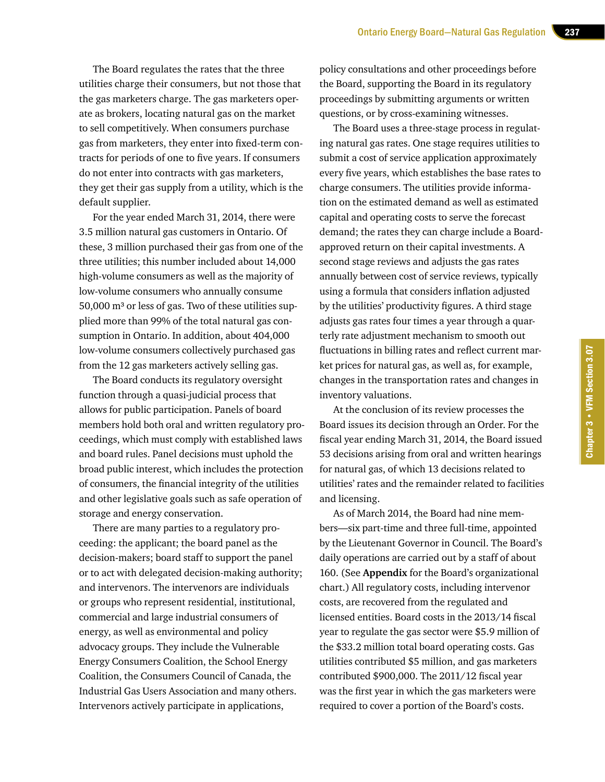The Board regulates the rates that the three utilities charge their consumers, but not those that the gas marketers charge. The gas marketers operate as brokers, locating natural gas on the market to sell competitively. When consumers purchase gas from marketers, they enter into fixed-term contracts for periods of one to five years. If consumers do not enter into contracts with gas marketers, they get their gas supply from a utility, which is the default supplier.

For the year ended March 31, 2014, there were 3.5 million natural gas customers in Ontario. Of these, 3 million purchased their gas from one of the three utilities; this number included about 14,000 high-volume consumers as well as the majority of low-volume consumers who annually consume  $50,000$  m<sup>3</sup> or less of gas. Two of these utilities supplied more than 99% of the total natural gas consumption in Ontario. In addition, about 404,000 low-volume consumers collectively purchased gas from the 12 gas marketers actively selling gas.

The Board conducts its regulatory oversight function through a quasi-judicial process that allows for public participation. Panels of board members hold both oral and written regulatory proceedings, which must comply with established laws and board rules. Panel decisions must uphold the broad public interest, which includes the protection of consumers, the financial integrity of the utilities and other legislative goals such as safe operation of storage and energy conservation.

There are many parties to a regulatory proceeding: the applicant; the board panel as the decision-makers; board staff to support the panel or to act with delegated decision-making authority; and intervenors. The intervenors are individuals or groups who represent residential, institutional, commercial and large industrial consumers of energy, as well as environmental and policy advocacy groups. They include the Vulnerable Energy Consumers Coalition, the School Energy Coalition, the Consumers Council of Canada, the Industrial Gas Users Association and many others. Intervenors actively participate in applications,

policy consultations and other proceedings before the Board, supporting the Board in its regulatory proceedings by submitting arguments or written questions, or by cross-examining witnesses.

The Board uses a three-stage process in regulating natural gas rates. One stage requires utilities to submit a cost of service application approximately every five years, which establishes the base rates to charge consumers. The utilities provide information on the estimated demand as well as estimated capital and operating costs to serve the forecast demand; the rates they can charge include a Boardapproved return on their capital investments. A second stage reviews and adjusts the gas rates annually between cost of service reviews, typically using a formula that considers inflation adjusted by the utilities' productivity figures. A third stage adjusts gas rates four times a year through a quarterly rate adjustment mechanism to smooth out fluctuations in billing rates and reflect current market prices for natural gas, as well as, for example, changes in the transportation rates and changes in inventory valuations.

At the conclusion of its review processes the Board issues its decision through an Order. For the fiscal year ending March 31, 2014, the Board issued 53 decisions arising from oral and written hearings for natural gas, of which 13 decisions related to utilities' rates and the remainder related to facilities and licensing.

As of March 2014, the Board had nine members—six part-time and three full-time, appointed by the Lieutenant Governor in Council. The Board's daily operations are carried out by a staff of about 160. (See **Appendix** for the Board's organizational chart.) All regulatory costs, including intervenor costs, are recovered from the regulated and licensed entities. Board costs in the 2013/14 fiscal year to regulate the gas sector were \$5.9 million of the \$33.2 million total board operating costs. Gas utilities contributed \$5 million, and gas marketers contributed \$900,000. The 2011/12 fiscal year was the first year in which the gas marketers were required to cover a portion of the Board's costs.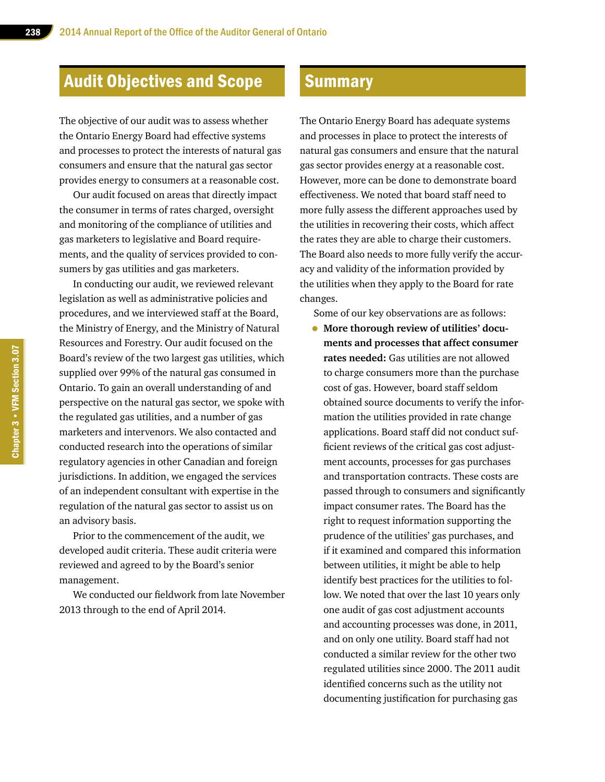# Audit Objectives and Scope

The objective of our audit was to assess whether the Ontario Energy Board had effective systems and processes to protect the interests of natural gas consumers and ensure that the natural gas sector provides energy to consumers at a reasonable cost.

Our audit focused on areas that directly impact the consumer in terms of rates charged, oversight and monitoring of the compliance of utilities and gas marketers to legislative and Board requirements, and the quality of services provided to consumers by gas utilities and gas marketers.

In conducting our audit, we reviewed relevant legislation as well as administrative policies and procedures, and we interviewed staff at the Board, the Ministry of Energy, and the Ministry of Natural Resources and Forestry. Our audit focused on the Board's review of the two largest gas utilities, which supplied over 99% of the natural gas consumed in Ontario. To gain an overall understanding of and perspective on the natural gas sector, we spoke with the regulated gas utilities, and a number of gas marketers and intervenors. We also contacted and conducted research into the operations of similar regulatory agencies in other Canadian and foreign jurisdictions. In addition, we engaged the services of an independent consultant with expertise in the regulation of the natural gas sector to assist us on an advisory basis.

Prior to the commencement of the audit, we developed audit criteria. These audit criteria were reviewed and agreed to by the Board's senior management.

We conducted our fieldwork from late November 2013 through to the end of April 2014.

## **Summary**

The Ontario Energy Board has adequate systems and processes in place to protect the interests of natural gas consumers and ensure that the natural gas sector provides energy at a reasonable cost. However, more can be done to demonstrate board effectiveness. We noted that board staff need to more fully assess the different approaches used by the utilities in recovering their costs, which affect the rates they are able to charge their customers. The Board also needs to more fully verify the accuracy and validity of the information provided by the utilities when they apply to the Board for rate changes.

Some of our key observations are as follows:

• **More thorough review of utilities' documents and processes that affect consumer rates needed:** Gas utilities are not allowed to charge consumers more than the purchase cost of gas. However, board staff seldom obtained source documents to verify the information the utilities provided in rate change applications. Board staff did not conduct sufficient reviews of the critical gas cost adjustment accounts, processes for gas purchases and transportation contracts. These costs are passed through to consumers and significantly impact consumer rates. The Board has the right to request information supporting the prudence of the utilities' gas purchases, and if it examined and compared this information between utilities, it might be able to help identify best practices for the utilities to follow. We noted that over the last 10 years only one audit of gas cost adjustment accounts and accounting processes was done, in 2011, and on only one utility. Board staff had not conducted a similar review for the other two regulated utilities since 2000. The 2011 audit identified concerns such as the utility not documenting justification for purchasing gas

Chapter 3 • VFM Section 3.07 Chapter 3 • VFM Section 3.07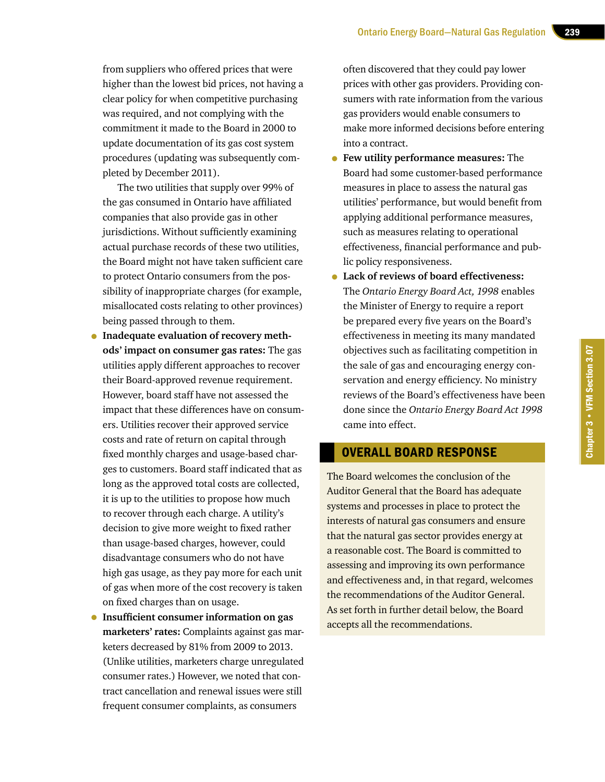from suppliers who offered prices that were higher than the lowest bid prices, not having a clear policy for when competitive purchasing was required, and not complying with the commitment it made to the Board in 2000 to update documentation of its gas cost system procedures (updating was subsequently completed by December 2011).

The two utilities that supply over 99% of the gas consumed in Ontario have affiliated companies that also provide gas in other jurisdictions. Without sufficiently examining actual purchase records of these two utilities, the Board might not have taken sufficient care to protect Ontario consumers from the possibility of inappropriate charges (for example, misallocated costs relating to other provinces) being passed through to them.

- **Inadequate evaluation of recovery methods' impact on consumer gas rates:** The gas utilities apply different approaches to recover their Board-approved revenue requirement. However, board staff have not assessed the impact that these differences have on consumers. Utilities recover their approved service costs and rate of return on capital through fixed monthly charges and usage-based charges to customers. Board staff indicated that as long as the approved total costs are collected, it is up to the utilities to propose how much to recover through each charge. A utility's decision to give more weight to fixed rather than usage-based charges, however, could disadvantage consumers who do not have high gas usage, as they pay more for each unit of gas when more of the cost recovery is taken on fixed charges than on usage.
- **Insufficient consumer information on gas marketers' rates:** Complaints against gas marketers decreased by 81% from 2009 to 2013. (Unlike utilities, marketers charge unregulated consumer rates.) However, we noted that contract cancellation and renewal issues were still frequent consumer complaints, as consumers

often discovered that they could pay lower prices with other gas providers. Providing consumers with rate information from the various gas providers would enable consumers to make more informed decisions before entering into a contract.

- **Few utility performance measures:** The Board had some customer-based performance measures in place to assess the natural gas utilities' performance, but would benefit from applying additional performance measures, such as measures relating to operational effectiveness, financial performance and public policy responsiveness.
- **Lack of reviews of board effectiveness:**  The *Ontario Energy Board Act, 1998* enables the Minister of Energy to require a report be prepared every five years on the Board's effectiveness in meeting its many mandated objectives such as facilitating competition in the sale of gas and encouraging energy conservation and energy efficiency. No ministry reviews of the Board's effectiveness have been done since the *Ontario Energy Board Act 1998* came into effect.

## OVERALL BOARD RESPONSE

The Board welcomes the conclusion of the Auditor General that the Board has adequate systems and processes in place to protect the interests of natural gas consumers and ensure that the natural gas sector provides energy at a reasonable cost. The Board is committed to assessing and improving its own performance and effectiveness and, in that regard, welcomes the recommendations of the Auditor General. As set forth in further detail below, the Board accepts all the recommendations.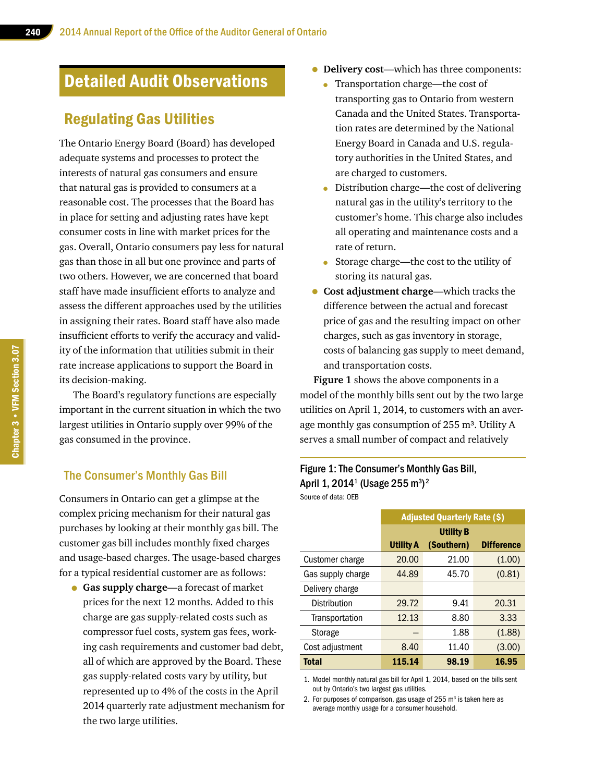# Detailed Audit Observations

## Regulating Gas Utilities

The Ontario Energy Board (Board) has developed adequate systems and processes to protect the interests of natural gas consumers and ensure that natural gas is provided to consumers at a reasonable cost. The processes that the Board has in place for setting and adjusting rates have kept consumer costs in line with market prices for the gas. Overall, Ontario consumers pay less for natural gas than those in all but one province and parts of two others. However, we are concerned that board staff have made insufficient efforts to analyze and assess the different approaches used by the utilities in assigning their rates. Board staff have also made insufficient efforts to verify the accuracy and validity of the information that utilities submit in their rate increase applications to support the Board in its decision-making.

The Board's regulatory functions are especially important in the current situation in which the two largest utilities in Ontario supply over 99% of the gas consumed in the province.

## The Consumer's Monthly Gas Bill

Consumers in Ontario can get a glimpse at the complex pricing mechanism for their natural gas purchases by looking at their monthly gas bill. The customer gas bill includes monthly fixed charges and usage-based charges. The usage-based charges for a typical residential customer are as follows:

• **Gas supply charge**—a forecast of market prices for the next 12 months. Added to this charge are gas supply-related costs such as compressor fuel costs, system gas fees, working cash requirements and customer bad debt, all of which are approved by the Board. These gas supply-related costs vary by utility, but represented up to 4% of the costs in the April 2014 quarterly rate adjustment mechanism for the two large utilities.

- **Delivery cost**—which has three components:
	- Transportation charge—the cost of transporting gas to Ontario from western Canada and the United States. Transportation rates are determined by the National Energy Board in Canada and U.S. regulatory authorities in the United States, and are charged to customers.
	- Distribution charge—the cost of delivering natural gas in the utility's territory to the customer's home. This charge also includes all operating and maintenance costs and a rate of return.
	- Storage charge—the cost to the utility of storing its natural gas.
- **Cost adjustment charge**—which tracks the difference between the actual and forecast price of gas and the resulting impact on other charges, such as gas inventory in storage, costs of balancing gas supply to meet demand, and transportation costs.

**Figure 1** shows the above components in a model of the monthly bills sent out by the two large utilities on April 1, 2014, to customers with an average monthly gas consumption of  $255 \text{ m}^3$ . Utility A serves a small number of compact and relatively

#### Figure 1: The Consumer's Monthly Gas Bill, April 1, 2014 $^{\rm 1}$  (Usage 255 m $^{\rm 3)}{}^{\rm 2}$ Source of data: OEB

|                   | <b>Adjusted Quarterly Rate (\$)</b> |            |                   |  |
|-------------------|-------------------------------------|------------|-------------------|--|
|                   | <b>Utility B</b>                    |            |                   |  |
|                   | <b>Utility A</b>                    | (Southern) | <b>Difference</b> |  |
| Customer charge   | 20.00                               | 21.00      | (1.00)            |  |
| Gas supply charge | 44.89                               | 45.70      | (0.81)            |  |
| Delivery charge   |                                     |            |                   |  |
| Distribution      | 29.72                               | 9.41       | 20.31             |  |
| Transportation    | 12.13                               | 8.80       | 3.33              |  |
| Storage           |                                     | 1.88       | (1.88)            |  |
| Cost adjustment   | 8.40                                | 11.40      | (3.00)            |  |
| <b>Total</b>      | 115.14                              | 98.19      | 16.95             |  |

1. Model monthly natural gas bill for April 1, 2014, based on the bills sent out by Ontario's two largest gas utilities.

2. For purposes of comparison, gas usage of 255 m<sup>3</sup> is taken here as average monthly usage for a consumer household.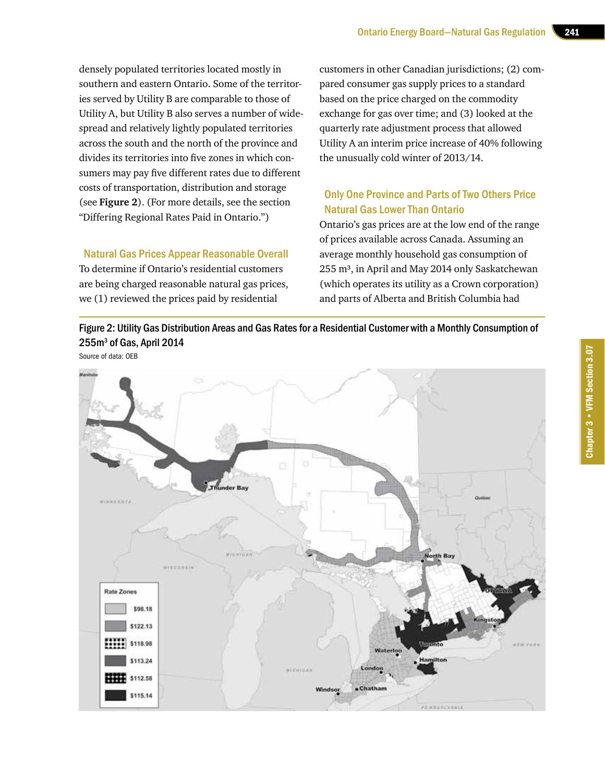densely populated territories located mostly in southern and eastern Ontario. Some of the territories served by Utility B are comparable to those of Utility A, but Utility B also serves a number of widespread and relatively lightly populated territories across the south and the north of the province and divides its territories into five zones in which consumers may pay five different rates due to different costs of transportation, distribution and storage (see **Figure 2**). (For more details, see the section "Differing Regional Rates Paid in Ontario.")

Natural Gas Prices Appear Reasonable Overall

To determine if Ontario's residential customers are being charged reasonable natural gas prices, we (1) reviewed the prices paid by residential

customers in other Canadian jurisdictions; (2) compared consumer gas supply prices to a standard based on the price charged on the commodity exchange for gas over time; and (3) looked at the quarterly rate adjustment process that allowed Utility A an interim price increase of 40% following the unusually cold winter of 2013/14.

## Only One Province and Parts of Two Others Price Natural Gas Lower Than Ontario

Ontario's gas prices are at the low end of the range of prices available across Canada. Assuming an average monthly household gas consumption of 255 m<sup>3</sup>, in April and May 2014 only Saskatchewan (which operates its utility as a Crown corporation) and parts of Alberta and British Columbia had

Figure 2: Utility Gas Distribution Areas and Gas Rates for a Residential Customer with a Monthly Consumption of  $255 \mathrm{m}^3$  of Gas, April 2014



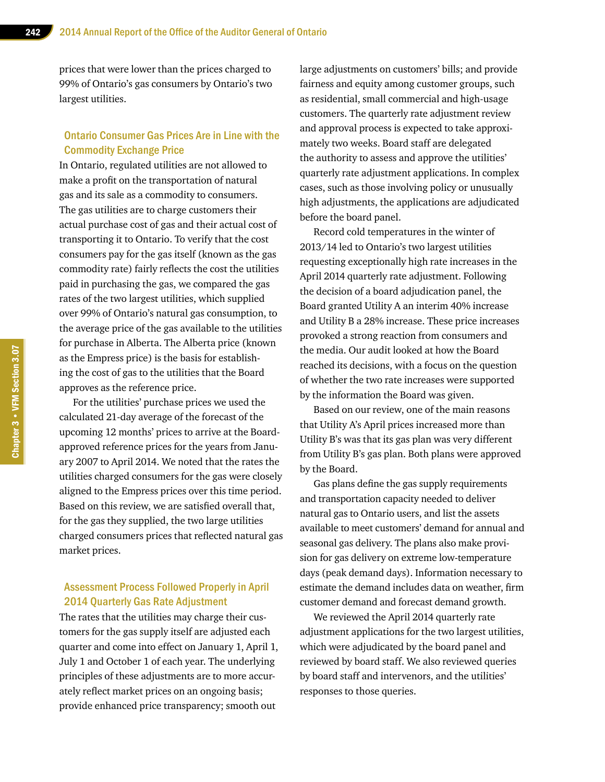prices that were lower than the prices charged to 99% of Ontario's gas consumers by Ontario's two largest utilities.

### Ontario Consumer Gas Prices Are in Line with the Commodity Exchange Price

In Ontario, regulated utilities are not allowed to make a profit on the transportation of natural gas and its sale as a commodity to consumers. The gas utilities are to charge customers their actual purchase cost of gas and their actual cost of transporting it to Ontario. To verify that the cost consumers pay for the gas itself (known as the gas commodity rate) fairly reflects the cost the utilities paid in purchasing the gas, we compared the gas rates of the two largest utilities, which supplied over 99% of Ontario's natural gas consumption, to the average price of the gas available to the utilities for purchase in Alberta. The Alberta price (known as the Empress price) is the basis for establishing the cost of gas to the utilities that the Board approves as the reference price.

For the utilities' purchase prices we used the calculated 21-day average of the forecast of the upcoming 12 months' prices to arrive at the Boardapproved reference prices for the years from January 2007 to April 2014. We noted that the rates the utilities charged consumers for the gas were closely aligned to the Empress prices over this time period. Based on this review, we are satisfied overall that, for the gas they supplied, the two large utilities charged consumers prices that reflected natural gas market prices.

## Assessment Process Followed Properly in April 2014 Quarterly Gas Rate Adjustment

The rates that the utilities may charge their customers for the gas supply itself are adjusted each quarter and come into effect on January 1, April 1, July 1 and October 1 of each year. The underlying principles of these adjustments are to more accurately reflect market prices on an ongoing basis; provide enhanced price transparency; smooth out

large adjustments on customers' bills; and provide fairness and equity among customer groups, such as residential, small commercial and high-usage customers. The quarterly rate adjustment review and approval process is expected to take approximately two weeks. Board staff are delegated the authority to assess and approve the utilities' quarterly rate adjustment applications. In complex cases, such as those involving policy or unusually high adjustments, the applications are adjudicated before the board panel.

Record cold temperatures in the winter of 2013/14 led to Ontario's two largest utilities requesting exceptionally high rate increases in the April 2014 quarterly rate adjustment. Following the decision of a board adjudication panel, the Board granted Utility A an interim 40% increase and Utility B a 28% increase. These price increases provoked a strong reaction from consumers and the media. Our audit looked at how the Board reached its decisions, with a focus on the question of whether the two rate increases were supported by the information the Board was given.

Based on our review, one of the main reasons that Utility A's April prices increased more than Utility B's was that its gas plan was very different from Utility B's gas plan. Both plans were approved by the Board.

Gas plans define the gas supply requirements and transportation capacity needed to deliver natural gas to Ontario users, and list the assets available to meet customers' demand for annual and seasonal gas delivery. The plans also make provision for gas delivery on extreme low-temperature days (peak demand days). Information necessary to estimate the demand includes data on weather, firm customer demand and forecast demand growth.

We reviewed the April 2014 quarterly rate adjustment applications for the two largest utilities, which were adjudicated by the board panel and reviewed by board staff. We also reviewed queries by board staff and intervenors, and the utilities' responses to those queries.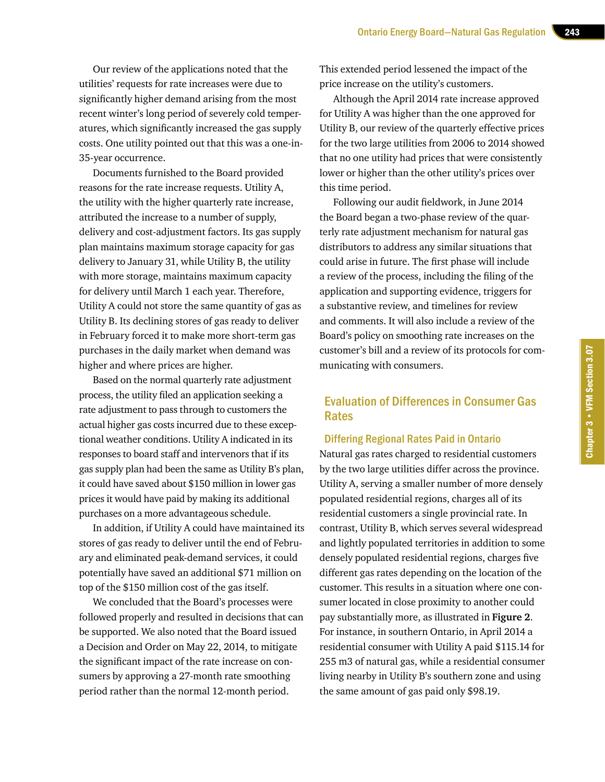Our review of the applications noted that the utilities' requests for rate increases were due to significantly higher demand arising from the most recent winter's long period of severely cold temperatures, which significantly increased the gas supply costs. One utility pointed out that this was a one-in-35-year occurrence.

Documents furnished to the Board provided reasons for the rate increase requests. Utility A, the utility with the higher quarterly rate increase, attributed the increase to a number of supply, delivery and cost-adjustment factors. Its gas supply plan maintains maximum storage capacity for gas delivery to January 31, while Utility B, the utility with more storage, maintains maximum capacity for delivery until March 1 each year. Therefore, Utility A could not store the same quantity of gas as Utility B. Its declining stores of gas ready to deliver in February forced it to make more short-term gas purchases in the daily market when demand was higher and where prices are higher.

Based on the normal quarterly rate adjustment process, the utility filed an application seeking a rate adjustment to pass through to customers the actual higher gas costs incurred due to these exceptional weather conditions. Utility A indicated in its responses to board staff and intervenors that if its gas supply plan had been the same as Utility B's plan, it could have saved about \$150 million in lower gas prices it would have paid by making its additional purchases on a more advantageous schedule.

In addition, if Utility A could have maintained its stores of gas ready to deliver until the end of February and eliminated peak-demand services, it could potentially have saved an additional \$71 million on top of the \$150 million cost of the gas itself.

We concluded that the Board's processes were followed properly and resulted in decisions that can be supported. We also noted that the Board issued a Decision and Order on May 22, 2014, to mitigate the significant impact of the rate increase on consumers by approving a 27-month rate smoothing period rather than the normal 12-month period.

This extended period lessened the impact of the price increase on the utility's customers.

Although the April 2014 rate increase approved for Utility A was higher than the one approved for Utility B, our review of the quarterly effective prices for the two large utilities from 2006 to 2014 showed that no one utility had prices that were consistently lower or higher than the other utility's prices over this time period.

Following our audit fieldwork, in June 2014 the Board began a two-phase review of the quarterly rate adjustment mechanism for natural gas distributors to address any similar situations that could arise in future. The first phase will include a review of the process, including the filing of the application and supporting evidence, triggers for a substantive review, and timelines for review and comments. It will also include a review of the Board's policy on smoothing rate increases on the customer's bill and a review of its protocols for communicating with consumers.

## Evaluation of Differences in Consumer Gas Rates

#### Differing Regional Rates Paid in Ontario

Natural gas rates charged to residential customers by the two large utilities differ across the province. Utility A, serving a smaller number of more densely populated residential regions, charges all of its residential customers a single provincial rate. In contrast, Utility B, which serves several widespread and lightly populated territories in addition to some densely populated residential regions, charges five different gas rates depending on the location of the customer. This results in a situation where one consumer located in close proximity to another could pay substantially more, as illustrated in **Figure 2**. For instance, in southern Ontario, in April 2014 a residential consumer with Utility A paid \$115.14 for 255 m3 of natural gas, while a residential consumer living nearby in Utility B's southern zone and using the same amount of gas paid only \$98.19.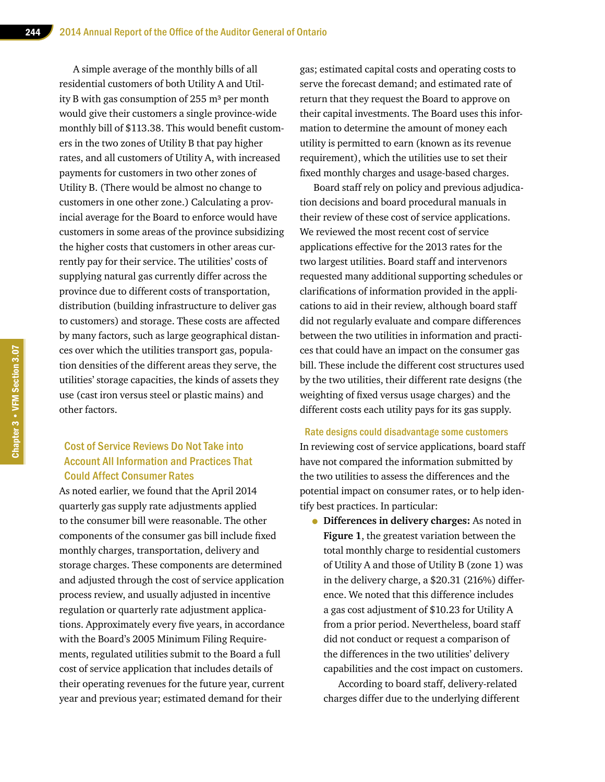A simple average of the monthly bills of all residential customers of both Utility A and Utility B with gas consumption of  $255 \text{ m}^3$  per month would give their customers a single province-wide monthly bill of \$113.38. This would benefit customers in the two zones of Utility B that pay higher rates, and all customers of Utility A, with increased payments for customers in two other zones of Utility B. (There would be almost no change to customers in one other zone.) Calculating a provincial average for the Board to enforce would have customers in some areas of the province subsidizing the higher costs that customers in other areas currently pay for their service. The utilities' costs of supplying natural gas currently differ across the province due to different costs of transportation, distribution (building infrastructure to deliver gas to customers) and storage. These costs are affected by many factors, such as large geographical distances over which the utilities transport gas, population densities of the different areas they serve, the utilities' storage capacities, the kinds of assets they use (cast iron versus steel or plastic mains) and other factors.

## Cost of Service Reviews Do Not Take into Account All Information and Practices That Could Affect Consumer Rates

As noted earlier, we found that the April 2014 quarterly gas supply rate adjustments applied to the consumer bill were reasonable. The other components of the consumer gas bill include fixed monthly charges, transportation, delivery and storage charges. These components are determined and adjusted through the cost of service application process review, and usually adjusted in incentive regulation or quarterly rate adjustment applications. Approximately every five years, in accordance with the Board's 2005 Minimum Filing Requirements, regulated utilities submit to the Board a full cost of service application that includes details of their operating revenues for the future year, current year and previous year; estimated demand for their

gas; estimated capital costs and operating costs to serve the forecast demand; and estimated rate of return that they request the Board to approve on their capital investments. The Board uses this information to determine the amount of money each utility is permitted to earn (known as its revenue requirement), which the utilities use to set their fixed monthly charges and usage-based charges.

Board staff rely on policy and previous adjudication decisions and board procedural manuals in their review of these cost of service applications. We reviewed the most recent cost of service applications effective for the 2013 rates for the two largest utilities. Board staff and intervenors requested many additional supporting schedules or clarifications of information provided in the applications to aid in their review, although board staff did not regularly evaluate and compare differences between the two utilities in information and practices that could have an impact on the consumer gas bill. These include the different cost structures used by the two utilities, their different rate designs (the weighting of fixed versus usage charges) and the different costs each utility pays for its gas supply.

Rate designs could disadvantage some customers In reviewing cost of service applications, board staff have not compared the information submitted by the two utilities to assess the differences and the potential impact on consumer rates, or to help identify best practices. In particular:

• **Differences in delivery charges:** As noted in **Figure 1**, the greatest variation between the total monthly charge to residential customers of Utility A and those of Utility B (zone 1) was in the delivery charge, a \$20.31 (216%) difference. We noted that this difference includes a gas cost adjustment of \$10.23 for Utility A from a prior period. Nevertheless, board staff did not conduct or request a comparison of the differences in the two utilities' delivery capabilities and the cost impact on customers.

According to board staff, delivery-related charges differ due to the underlying different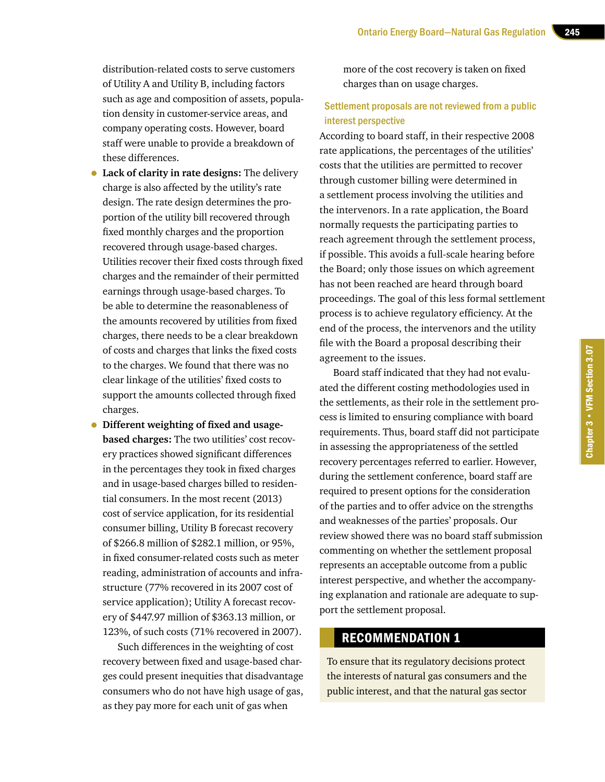distribution-related costs to serve customers of Utility A and Utility B, including factors such as age and composition of assets, population density in customer-service areas, and company operating costs. However, board staff were unable to provide a breakdown of these differences.

• **Lack of clarity in rate designs:** The delivery charge is also affected by the utility's rate design. The rate design determines the proportion of the utility bill recovered through fixed monthly charges and the proportion recovered through usage-based charges. Utilities recover their fixed costs through fixed charges and the remainder of their permitted earnings through usage-based charges. To be able to determine the reasonableness of the amounts recovered by utilities from fixed charges, there needs to be a clear breakdown of costs and charges that links the fixed costs to the charges. We found that there was no clear linkage of the utilities' fixed costs to support the amounts collected through fixed charges.

• **Different weighting of fixed and usagebased charges:** The two utilities' cost recovery practices showed significant differences in the percentages they took in fixed charges and in usage-based charges billed to residential consumers. In the most recent (2013) cost of service application, for its residential consumer billing, Utility B forecast recovery of \$266.8 million of \$282.1 million, or 95%, in fixed consumer-related costs such as meter reading, administration of accounts and infrastructure (77% recovered in its 2007 cost of service application); Utility A forecast recovery of \$447.97 million of \$363.13 million, or 123%, of such costs (71% recovered in 2007).

Such differences in the weighting of cost recovery between fixed and usage-based charges could present inequities that disadvantage consumers who do not have high usage of gas, as they pay more for each unit of gas when

more of the cost recovery is taken on fixed charges than on usage charges.

#### Settlement proposals are not reviewed from a public interest perspective

According to board staff, in their respective 2008 rate applications, the percentages of the utilities' costs that the utilities are permitted to recover through customer billing were determined in a settlement process involving the utilities and the intervenors. In a rate application, the Board normally requests the participating parties to reach agreement through the settlement process, if possible. This avoids a full-scale hearing before the Board; only those issues on which agreement has not been reached are heard through board proceedings. The goal of this less formal settlement process is to achieve regulatory efficiency. At the end of the process, the intervenors and the utility file with the Board a proposal describing their agreement to the issues.

Board staff indicated that they had not evaluated the different costing methodologies used in the settlements, as their role in the settlement process is limited to ensuring compliance with board requirements. Thus, board staff did not participate in assessing the appropriateness of the settled recovery percentages referred to earlier. However, during the settlement conference, board staff are required to present options for the consideration of the parties and to offer advice on the strengths and weaknesses of the parties' proposals. Our review showed there was no board staff submission commenting on whether the settlement proposal represents an acceptable outcome from a public interest perspective, and whether the accompanying explanation and rationale are adequate to support the settlement proposal.

## RECOMMENDATION 1

To ensure that its regulatory decisions protect the interests of natural gas consumers and the public interest, and that the natural gas sector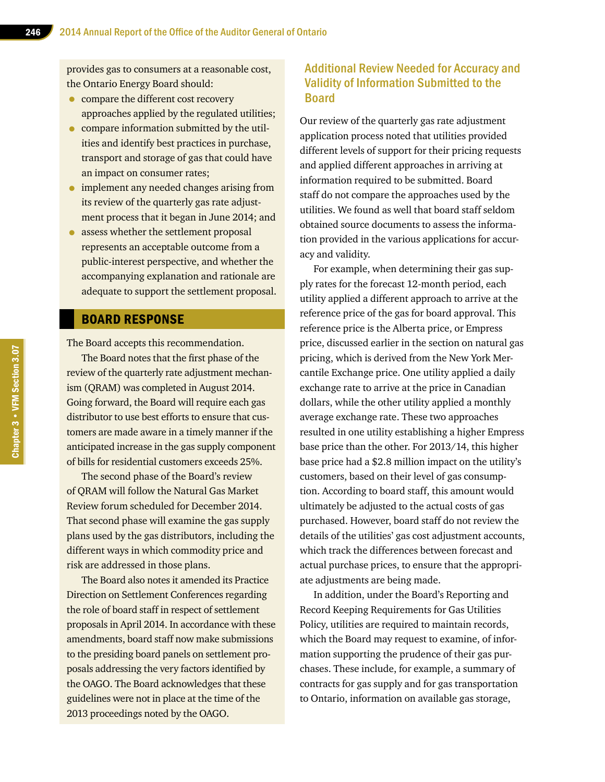provides gas to consumers at a reasonable cost, the Ontario Energy Board should:

- compare the different cost recovery approaches applied by the regulated utilities;
- compare information submitted by the utilities and identify best practices in purchase, transport and storage of gas that could have an impact on consumer rates;
- implement any needed changes arising from its review of the quarterly gas rate adjustment process that it began in June 2014; and
- assess whether the settlement proposal represents an acceptable outcome from a public-interest perspective, and whether the accompanying explanation and rationale are adequate to support the settlement proposal.

#### BOARD RESPONSE

The Board accepts this recommendation.

The Board notes that the first phase of the review of the quarterly rate adjustment mechanism (QRAM) was completed in August 2014. Going forward, the Board will require each gas distributor to use best efforts to ensure that customers are made aware in a timely manner if the anticipated increase in the gas supply component of bills for residential customers exceeds 25%.

The second phase of the Board's review of QRAM will follow the Natural Gas Market Review forum scheduled for December 2014. That second phase will examine the gas supply plans used by the gas distributors, including the different ways in which commodity price and risk are addressed in those plans.

The Board also notes it amended its Practice Direction on Settlement Conferences regarding the role of board staff in respect of settlement proposals in April 2014. In accordance with these amendments, board staff now make submissions to the presiding board panels on settlement proposals addressing the very factors identified by the OAGO. The Board acknowledges that these guidelines were not in place at the time of the 2013 proceedings noted by the OAGO.

## Additional Review Needed for Accuracy and Validity of Information Submitted to the Board

Our review of the quarterly gas rate adjustment application process noted that utilities provided different levels of support for their pricing requests and applied different approaches in arriving at information required to be submitted. Board staff do not compare the approaches used by the utilities. We found as well that board staff seldom obtained source documents to assess the information provided in the various applications for accuracy and validity.

For example, when determining their gas supply rates for the forecast 12-month period, each utility applied a different approach to arrive at the reference price of the gas for board approval. This reference price is the Alberta price, or Empress price, discussed earlier in the section on natural gas pricing, which is derived from the New York Mercantile Exchange price. One utility applied a daily exchange rate to arrive at the price in Canadian dollars, while the other utility applied a monthly average exchange rate. These two approaches resulted in one utility establishing a higher Empress base price than the other. For 2013/14, this higher base price had a \$2.8 million impact on the utility's customers, based on their level of gas consumption. According to board staff, this amount would ultimately be adjusted to the actual costs of gas purchased. However, board staff do not review the details of the utilities' gas cost adjustment accounts, which track the differences between forecast and actual purchase prices, to ensure that the appropriate adjustments are being made.

In addition, under the Board's Reporting and Record Keeping Requirements for Gas Utilities Policy, utilities are required to maintain records, which the Board may request to examine, of information supporting the prudence of their gas purchases. These include, for example, a summary of contracts for gas supply and for gas transportation to Ontario, information on available gas storage,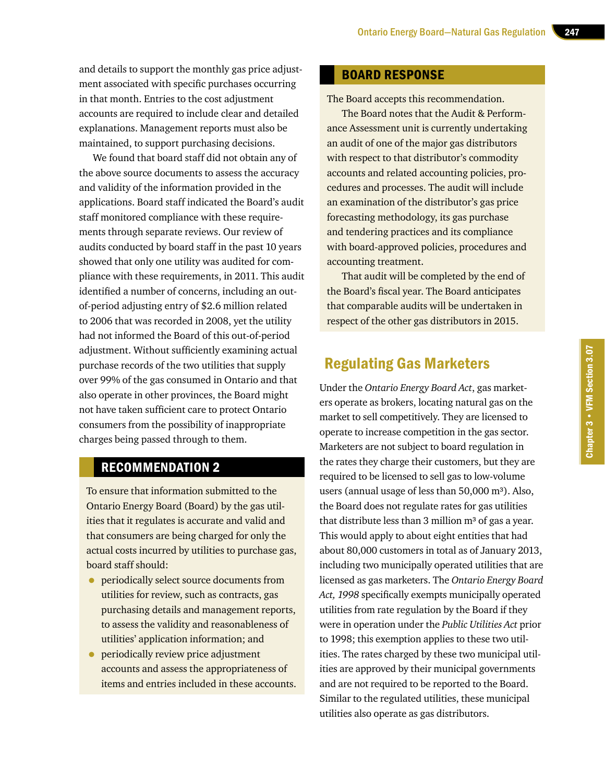and details to support the monthly gas price adjustment associated with specific purchases occurring in that month. Entries to the cost adjustment accounts are required to include clear and detailed explanations. Management reports must also be maintained, to support purchasing decisions.

We found that board staff did not obtain any of the above source documents to assess the accuracy and validity of the information provided in the applications. Board staff indicated the Board's audit staff monitored compliance with these requirements through separate reviews. Our review of audits conducted by board staff in the past 10 years showed that only one utility was audited for compliance with these requirements, in 2011. This audit identified a number of concerns, including an outof-period adjusting entry of \$2.6 million related to 2006 that was recorded in 2008, yet the utility had not informed the Board of this out-of-period adjustment. Without sufficiently examining actual purchase records of the two utilities that supply over 99% of the gas consumed in Ontario and that also operate in other provinces, the Board might not have taken sufficient care to protect Ontario consumers from the possibility of inappropriate charges being passed through to them.

## RECOMMENDATION 2

To ensure that information submitted to the Ontario Energy Board (Board) by the gas utilities that it regulates is accurate and valid and that consumers are being charged for only the actual costs incurred by utilities to purchase gas, board staff should:

- **•** periodically select source documents from utilities for review, such as contracts, gas purchasing details and management reports, to assess the validity and reasonableness of utilities' application information; and
- **•** periodically review price adjustment accounts and assess the appropriateness of items and entries included in these accounts.

### BOARD RESPONSE

The Board accepts this recommendation.

The Board notes that the Audit & Performance Assessment unit is currently undertaking an audit of one of the major gas distributors with respect to that distributor's commodity accounts and related accounting policies, procedures and processes. The audit will include an examination of the distributor's gas price forecasting methodology, its gas purchase and tendering practices and its compliance with board-approved policies, procedures and accounting treatment.

That audit will be completed by the end of the Board's fiscal year. The Board anticipates that comparable audits will be undertaken in respect of the other gas distributors in 2015.

## Regulating Gas Marketers

Under the *Ontario Energy Board Act*, gas marketers operate as brokers, locating natural gas on the market to sell competitively. They are licensed to operate to increase competition in the gas sector. Marketers are not subject to board regulation in the rates they charge their customers, but they are required to be licensed to sell gas to low-volume users (annual usage of less than  $50,000$  m<sup>3</sup>). Also, the Board does not regulate rates for gas utilities that distribute less than 3 million  $m<sup>3</sup>$  of gas a year. This would apply to about eight entities that had about 80,000 customers in total as of January 2013, including two municipally operated utilities that are licensed as gas marketers. The *Ontario Energy Board Act, 1998* specifically exempts municipally operated utilities from rate regulation by the Board if they were in operation under the *Public Utilities Act* prior to 1998; this exemption applies to these two utilities. The rates charged by these two municipal utilities are approved by their municipal governments and are not required to be reported to the Board. Similar to the regulated utilities, these municipal utilities also operate as gas distributors.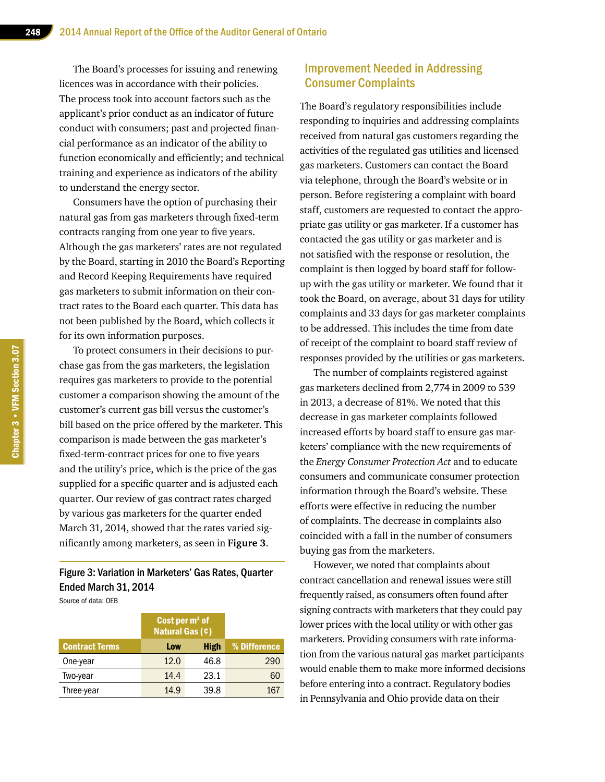The Board's processes for issuing and renewing licences was in accordance with their policies. The process took into account factors such as the applicant's prior conduct as an indicator of future conduct with consumers; past and projected financial performance as an indicator of the ability to function economically and efficiently; and technical training and experience as indicators of the ability to understand the energy sector.

Consumers have the option of purchasing their natural gas from gas marketers through fixed-term contracts ranging from one year to five years. Although the gas marketers' rates are not regulated by the Board, starting in 2010 the Board's Reporting and Record Keeping Requirements have required gas marketers to submit information on their contract rates to the Board each quarter. This data has not been published by the Board, which collects it for its own information purposes.

To protect consumers in their decisions to purchase gas from the gas marketers, the legislation requires gas marketers to provide to the potential customer a comparison showing the amount of the customer's current gas bill versus the customer's bill based on the price offered by the marketer. This comparison is made between the gas marketer's fixed-term-contract prices for one to five years and the utility's price, which is the price of the gas supplied for a specific quarter and is adjusted each quarter. Our review of gas contract rates charged by various gas marketers for the quarter ended March 31, 2014, showed that the rates varied significantly among marketers, as seen in **Figure 3**.

## Figure 3: Variation in Marketers' Gas Rates, Quarter Ended March 31, 2014

Source of data: OEB

|                       | Cost per $m3$ of<br><b>Natural Gas (¢)</b> |             |              |
|-----------------------|--------------------------------------------|-------------|--------------|
| <b>Contract Terms</b> | Low                                        | <b>High</b> | % Difference |
| One-year              | 12.0                                       | 46.8        | 290          |
| Two-year              | 14.4                                       | 23.1        | 60           |
| Three-year            | 14.9                                       | 39.8        | 167          |
|                       |                                            |             |              |

## Improvement Needed in Addressing Consumer Complaints

The Board's regulatory responsibilities include responding to inquiries and addressing complaints received from natural gas customers regarding the activities of the regulated gas utilities and licensed gas marketers. Customers can contact the Board via telephone, through the Board's website or in person. Before registering a complaint with board staff, customers are requested to contact the appropriate gas utility or gas marketer. If a customer has contacted the gas utility or gas marketer and is not satisfied with the response or resolution, the complaint is then logged by board staff for followup with the gas utility or marketer. We found that it took the Board, on average, about 31 days for utility complaints and 33 days for gas marketer complaints to be addressed. This includes the time from date of receipt of the complaint to board staff review of responses provided by the utilities or gas marketers.

The number of complaints registered against gas marketers declined from 2,774 in 2009 to 539 in 2013, a decrease of 81%. We noted that this decrease in gas marketer complaints followed increased efforts by board staff to ensure gas marketers' compliance with the new requirements of the *Energy Consumer Protection Act* and to educate consumers and communicate consumer protection information through the Board's website. These efforts were effective in reducing the number of complaints. The decrease in complaints also coincided with a fall in the number of consumers buying gas from the marketers.

However, we noted that complaints about contract cancellation and renewal issues were still frequently raised, as consumers often found after signing contracts with marketers that they could pay lower prices with the local utility or with other gas marketers. Providing consumers with rate information from the various natural gas market participants would enable them to make more informed decisions before entering into a contract. Regulatory bodies in Pennsylvania and Ohio provide data on their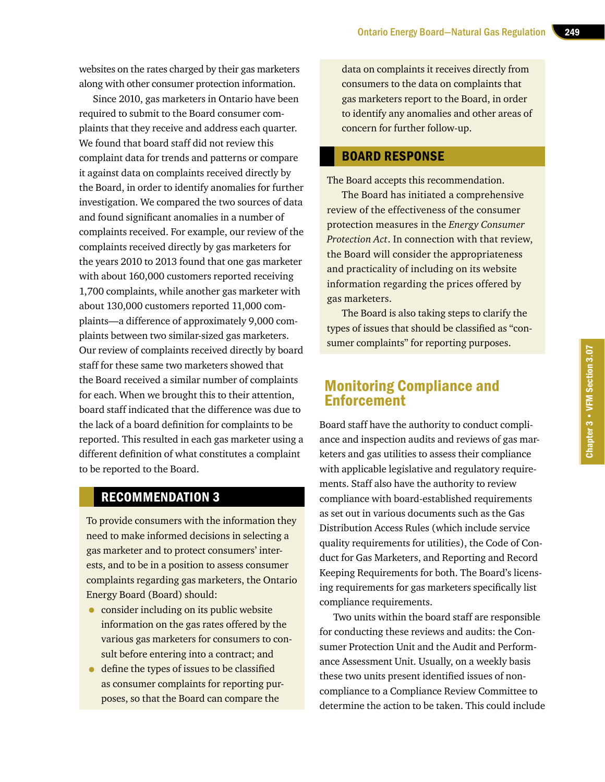websites on the rates charged by their gas marketers along with other consumer protection information.

Since 2010, gas marketers in Ontario have been required to submit to the Board consumer complaints that they receive and address each quarter. We found that board staff did not review this complaint data for trends and patterns or compare it against data on complaints received directly by the Board, in order to identify anomalies for further investigation. We compared the two sources of data and found significant anomalies in a number of complaints received. For example, our review of the complaints received directly by gas marketers for the years 2010 to 2013 found that one gas marketer with about 160,000 customers reported receiving 1,700 complaints, while another gas marketer with about 130,000 customers reported 11,000 complaints—a difference of approximately 9,000 complaints between two similar-sized gas marketers. Our review of complaints received directly by board staff for these same two marketers showed that the Board received a similar number of complaints for each. When we brought this to their attention, board staff indicated that the difference was due to the lack of a board definition for complaints to be reported. This resulted in each gas marketer using a different definition of what constitutes a complaint to be reported to the Board.

## RECOMMENDATION 3

To provide consumers with the information they need to make informed decisions in selecting a gas marketer and to protect consumers' interests, and to be in a position to assess consumer complaints regarding gas marketers, the Ontario Energy Board (Board) should:

- consider including on its public website information on the gas rates offered by the various gas marketers for consumers to consult before entering into a contract; and
- define the types of issues to be classified as consumer complaints for reporting purposes, so that the Board can compare the

data on complaints it receives directly from consumers to the data on complaints that gas marketers report to the Board, in order to identify any anomalies and other areas of concern for further follow-up.

#### BOARD RESPONSE

The Board accepts this recommendation.

The Board has initiated a comprehensive review of the effectiveness of the consumer protection measures in the *Energy Consumer Protection Act*. In connection with that review, the Board will consider the appropriateness and practicality of including on its website information regarding the prices offered by gas marketers.

The Board is also taking steps to clarify the types of issues that should be classified as "consumer complaints" for reporting purposes.

## Monitoring Compliance and Enforcement

Board staff have the authority to conduct compliance and inspection audits and reviews of gas marketers and gas utilities to assess their compliance with applicable legislative and regulatory requirements. Staff also have the authority to review compliance with board-established requirements as set out in various documents such as the Gas Distribution Access Rules (which include service quality requirements for utilities), the Code of Conduct for Gas Marketers, and Reporting and Record Keeping Requirements for both. The Board's licensing requirements for gas marketers specifically list compliance requirements.

Two units within the board staff are responsible for conducting these reviews and audits: the Consumer Protection Unit and the Audit and Performance Assessment Unit. Usually, on a weekly basis these two units present identified issues of noncompliance to a Compliance Review Committee to determine the action to be taken. This could include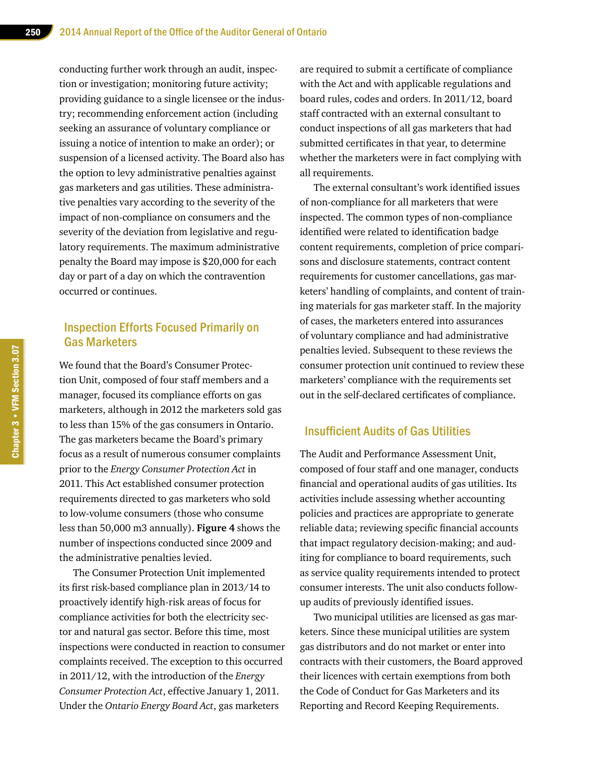conducting further work through an audit, inspection or investigation; monitoring future activity; providing guidance to a single licensee or the industry; recommending enforcement action (including seeking an assurance of voluntary compliance or issuing a notice of intention to make an order); or suspension of a licensed activity. The Board also has the option to levy administrative penalties against gas marketers and gas utilities. These administrative penalties vary according to the severity of the impact of non-compliance on consumers and the severity of the deviation from legislative and regulatory requirements. The maximum administrative penalty the Board may impose is \$20,000 for each day or part of a day on which the contravention occurred or continues.

## Inspection Efforts Focused Primarily on Gas Marketers

We found that the Board's Consumer Protection Unit, composed of four staff members and a manager, focused its compliance efforts on gas marketers, although in 2012 the marketers sold gas to less than 15% of the gas consumers in Ontario. The gas marketers became the Board's primary focus as a result of numerous consumer complaints prior to the *Energy Consumer Protection Act* in 2011. This Act established consumer protection requirements directed to gas marketers who sold to low-volume consumers (those who consume less than 50,000 m3 annually). **Figure 4** shows the number of inspections conducted since 2009 and the administrative penalties levied.

The Consumer Protection Unit implemented its first risk-based compliance plan in 2013/14 to proactively identify high-risk areas of focus for compliance activities for both the electricity sector and natural gas sector. Before this time, most inspections were conducted in reaction to consumer complaints received. The exception to this occurred in 2011/12, with the introduction of the *Energy Consumer Protection Act*, effective January 1, 2011. Under the *Ontario Energy Board Act*, gas marketers

are required to submit a certificate of compliance with the Act and with applicable regulations and board rules, codes and orders. In 2011/12, board staff contracted with an external consultant to conduct inspections of all gas marketers that had submitted certificates in that year, to determine whether the marketers were in fact complying with all requirements.

The external consultant's work identified issues of non-compliance for all marketers that were inspected. The common types of non-compliance identified were related to identification badge content requirements, completion of price comparisons and disclosure statements, contract content requirements for customer cancellations, gas marketers' handling of complaints, and content of training materials for gas marketer staff. In the majority of cases, the marketers entered into assurances of voluntary compliance and had administrative penalties levied. Subsequent to these reviews the consumer protection unit continued to review these marketers' compliance with the requirements set out in the self-declared certificates of compliance.

#### Insufficient Audits of Gas Utilities

The Audit and Performance Assessment Unit, composed of four staff and one manager, conducts financial and operational audits of gas utilities. Its activities include assessing whether accounting policies and practices are appropriate to generate reliable data; reviewing specific financial accounts that impact regulatory decision-making; and auditing for compliance to board requirements, such as service quality requirements intended to protect consumer interests. The unit also conducts followup audits of previously identified issues.

Two municipal utilities are licensed as gas marketers. Since these municipal utilities are system gas distributors and do not market or enter into contracts with their customers, the Board approved their licences with certain exemptions from both the Code of Conduct for Gas Marketers and its Reporting and Record Keeping Requirements.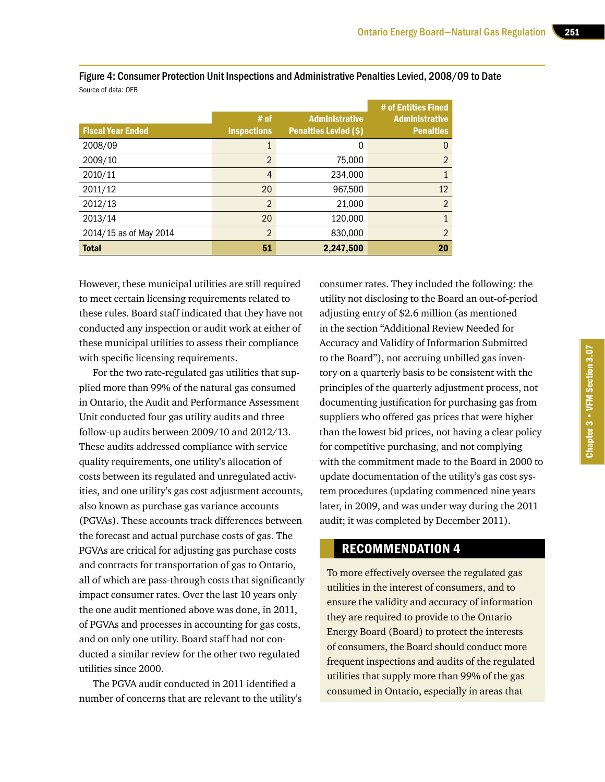|                          |                    |                              | # of Entities Fined   |
|--------------------------|--------------------|------------------------------|-----------------------|
|                          | # of               | <b>Administrative</b>        | <b>Administrative</b> |
| <b>Fiscal Year Ended</b> | <b>Inspections</b> | <b>Penalties Levied (\$)</b> | <b>Penalties</b>      |
| 2008/09                  |                    | 0                            | 0                     |
| 2009/10                  | 2                  | 75,000                       | $\overline{2}$        |
| 2010/11                  | 4                  | 234,000                      |                       |
| 2011/12                  | 20                 | 967,500                      | 12                    |
| 2012/13                  | 2                  | 21,000                       | 2                     |
| 2013/14                  | 20                 | 120,000                      |                       |
| 2014/15 as of May 2014   | 2                  | 830,000                      | $\overline{2}$        |
| <b>Total</b>             | 51                 | 2,247,500                    | 20                    |

Figure 4: Consumer Protection Unit Inspections and Administrative Penalties Levied, 2008/09 to Date Source of data: OEB

However, these municipal utilities are still required to meet certain licensing requirements related to these rules. Board staff indicated that they have not conducted any inspection or audit work at either of these municipal utilities to assess their compliance with specific licensing requirements.

For the two rate-regulated gas utilities that supplied more than 99% of the natural gas consumed in Ontario, the Audit and Performance Assessment Unit conducted four gas utility audits and three follow-up audits between 2009/10 and 2012/13. These audits addressed compliance with service quality requirements, one utility's allocation of costs between its regulated and unregulated activities, and one utility's gas cost adjustment accounts, also known as purchase gas variance accounts (PGVAs). These accounts track differences between the forecast and actual purchase costs of gas. The PGVAs are critical for adjusting gas purchase costs and contracts for transportation of gas to Ontario, all of which are pass-through costs that significantly impact consumer rates. Over the last 10 years only the one audit mentioned above was done, in 2011, of PGVAs and processes in accounting for gas costs, and on only one utility. Board staff had not conducted a similar review for the other two regulated utilities since 2000.

The PGVA audit conducted in 2011 identified a number of concerns that are relevant to the utility's

consumer rates. They included the following: the utility not disclosing to the Board an out-of-period adjusting entry of \$2.6 million (as mentioned in the section "Additional Review Needed for Accuracy and Validity of Information Submitted to the Board"), not accruing unbilled gas inventory on a quarterly basis to be consistent with the principles of the quarterly adjustment process, not documenting justification for purchasing gas from suppliers who offered gas prices that were higher than the lowest bid prices, not having a clear policy for competitive purchasing, and not complying with the commitment made to the Board in 2000 to update documentation of the utility's gas cost system procedures (updating commenced nine years later, in 2009, and was under way during the 2011 audit; it was completed by December 2011).

## RECOMMENDATION 4

To more effectively oversee the regulated gas utilities in the interest of consumers, and to ensure the validity and accuracy of information they are required to provide to the Ontario Energy Board (Board) to protect the interests of consumers, the Board should conduct more frequent inspections and audits of the regulated utilities that supply more than 99% of the gas consumed in Ontario, especially in areas that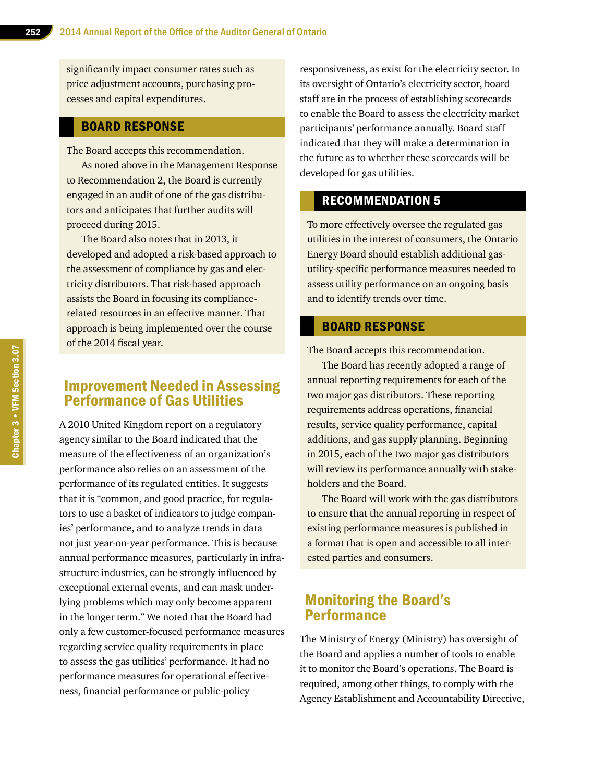significantly impact consumer rates such as price adjustment accounts, purchasing processes and capital expenditures.

## BOARD RESPONSE

The Board accepts this recommendation.

As noted above in the Management Response to Recommendation 2, the Board is currently engaged in an audit of one of the gas distributors and anticipates that further audits will proceed during 2015.

The Board also notes that in 2013, it developed and adopted a risk-based approach to the assessment of compliance by gas and electricity distributors. That risk-based approach assists the Board in focusing its compliancerelated resources in an effective manner. That approach is being implemented over the course of the 2014 fiscal year.

## Improvement Needed in Assessing Performance of Gas Utilities

A 2010 United Kingdom report on a regulatory agency similar to the Board indicated that the measure of the effectiveness of an organization's performance also relies on an assessment of the performance of its regulated entities. It suggests that it is "common, and good practice, for regulators to use a basket of indicators to judge companies' performance, and to analyze trends in data not just year-on-year performance. This is because annual performance measures, particularly in infrastructure industries, can be strongly influenced by exceptional external events, and can mask underlying problems which may only become apparent in the longer term." We noted that the Board had only a few customer-focused performance measures regarding service quality requirements in place to assess the gas utilities' performance. It had no performance measures for operational effectiveness, financial performance or public-policy

responsiveness, as exist for the electricity sector. In its oversight of Ontario's electricity sector, board staff are in the process of establishing scorecards to enable the Board to assess the electricity market participants' performance annually. Board staff indicated that they will make a determination in the future as to whether these scorecards will be developed for gas utilities.

### RECOMMENDATION 5

To more effectively oversee the regulated gas utilities in the interest of consumers, the Ontario Energy Board should establish additional gasutility-specific performance measures needed to assess utility performance on an ongoing basis and to identify trends over time.

#### BOARD RESPONSE

The Board accepts this recommendation.

The Board has recently adopted a range of annual reporting requirements for each of the two major gas distributors. These reporting requirements address operations, financial results, service quality performance, capital additions, and gas supply planning. Beginning in 2015, each of the two major gas distributors will review its performance annually with stakeholders and the Board.

The Board will work with the gas distributors to ensure that the annual reporting in respect of existing performance measures is published in a format that is open and accessible to all interested parties and consumers.

## Monitoring the Board's Performance

The Ministry of Energy (Ministry) has oversight of the Board and applies a number of tools to enable it to monitor the Board's operations. The Board is required, among other things, to comply with the Agency Establishment and Accountability Directive,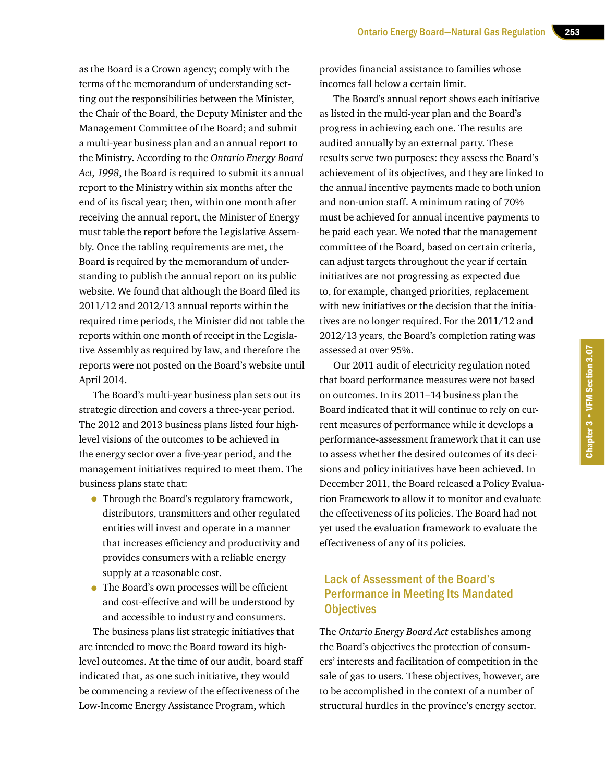as the Board is a Crown agency; comply with the terms of the memorandum of understanding setting out the responsibilities between the Minister, the Chair of the Board, the Deputy Minister and the Management Committee of the Board; and submit a multi-year business plan and an annual report to the Ministry. According to the *Ontario Energy Board Act, 1998*, the Board is required to submit its annual report to the Ministry within six months after the end of its fiscal year; then, within one month after receiving the annual report, the Minister of Energy must table the report before the Legislative Assembly. Once the tabling requirements are met, the Board is required by the memorandum of understanding to publish the annual report on its public website. We found that although the Board filed its 2011/12 and 2012/13 annual reports within the required time periods, the Minister did not table the reports within one month of receipt in the Legislative Assembly as required by law, and therefore the reports were not posted on the Board's website until April 2014.

The Board's multi-year business plan sets out its strategic direction and covers a three-year period. The 2012 and 2013 business plans listed four highlevel visions of the outcomes to be achieved in the energy sector over a five-year period, and the management initiatives required to meet them. The business plans state that:

- Through the Board's regulatory framework, distributors, transmitters and other regulated entities will invest and operate in a manner that increases efficiency and productivity and provides consumers with a reliable energy supply at a reasonable cost.
- The Board's own processes will be efficient and cost-effective and will be understood by and accessible to industry and consumers.

The business plans list strategic initiatives that are intended to move the Board toward its highlevel outcomes. At the time of our audit, board staff indicated that, as one such initiative, they would be commencing a review of the effectiveness of the Low-Income Energy Assistance Program, which

provides financial assistance to families whose incomes fall below a certain limit.

The Board's annual report shows each initiative as listed in the multi-year plan and the Board's progress in achieving each one. The results are audited annually by an external party. These results serve two purposes: they assess the Board's achievement of its objectives, and they are linked to the annual incentive payments made to both union and non-union staff. A minimum rating of 70% must be achieved for annual incentive payments to be paid each year. We noted that the management committee of the Board, based on certain criteria, can adjust targets throughout the year if certain initiatives are not progressing as expected due to, for example, changed priorities, replacement with new initiatives or the decision that the initiatives are no longer required. For the 2011/12 and 2012/13 years, the Board's completion rating was assessed at over 95%.

Our 2011 audit of electricity regulation noted that board performance measures were not based on outcomes. In its 2011–14 business plan the Board indicated that it will continue to rely on current measures of performance while it develops a performance-assessment framework that it can use to assess whether the desired outcomes of its decisions and policy initiatives have been achieved. In December 2011, the Board released a Policy Evaluation Framework to allow it to monitor and evaluate the effectiveness of its policies. The Board had not yet used the evaluation framework to evaluate the effectiveness of any of its policies.

## Lack of Assessment of the Board's Performance in Meeting Its Mandated **Objectives**

The *Ontario Energy Board Act* establishes among the Board's objectives the protection of consumers' interests and facilitation of competition in the sale of gas to users. These objectives, however, are to be accomplished in the context of a number of structural hurdles in the province's energy sector.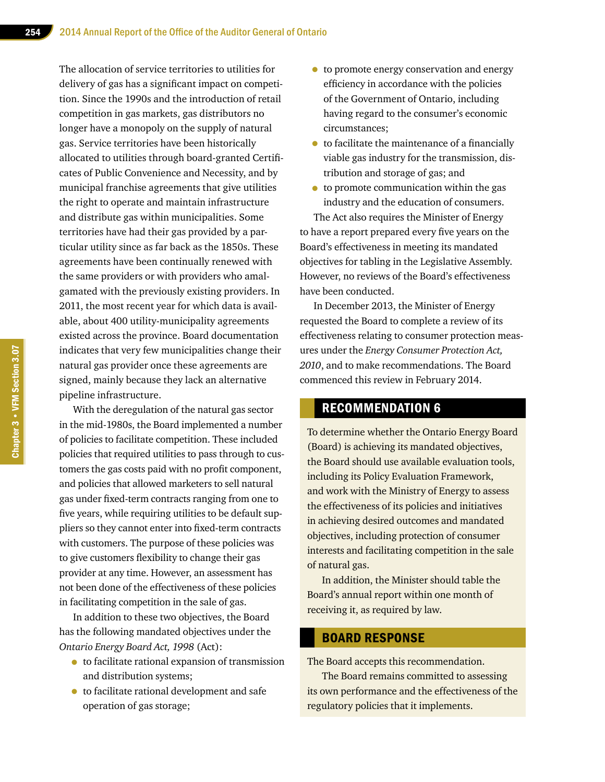The allocation of service territories to utilities for delivery of gas has a significant impact on competition. Since the 1990s and the introduction of retail competition in gas markets, gas distributors no longer have a monopoly on the supply of natural gas. Service territories have been historically allocated to utilities through board-granted Certificates of Public Convenience and Necessity, and by municipal franchise agreements that give utilities the right to operate and maintain infrastructure and distribute gas within municipalities. Some territories have had their gas provided by a particular utility since as far back as the 1850s. These agreements have been continually renewed with the same providers or with providers who amalgamated with the previously existing providers. In 2011, the most recent year for which data is available, about 400 utility-municipality agreements existed across the province. Board documentation indicates that very few municipalities change their natural gas provider once these agreements are signed, mainly because they lack an alternative pipeline infrastructure.

With the deregulation of the natural gas sector in the mid-1980s, the Board implemented a number of policies to facilitate competition. These included policies that required utilities to pass through to customers the gas costs paid with no profit component, and policies that allowed marketers to sell natural gas under fixed-term contracts ranging from one to five years, while requiring utilities to be default suppliers so they cannot enter into fixed-term contracts with customers. The purpose of these policies was to give customers flexibility to change their gas provider at any time. However, an assessment has not been done of the effectiveness of these policies in facilitating competition in the sale of gas.

In addition to these two objectives, the Board has the following mandated objectives under the *Ontario Energy Board Act, 1998* (Act):

- to facilitate rational expansion of transmission and distribution systems;
- to facilitate rational development and safe operation of gas storage;
- to promote energy conservation and energy efficiency in accordance with the policies of the Government of Ontario, including having regard to the consumer's economic circumstances;
- to facilitate the maintenance of a financially viable gas industry for the transmission, distribution and storage of gas; and
- to promote communication within the gas industry and the education of consumers.

The Act also requires the Minister of Energy to have a report prepared every five years on the Board's effectiveness in meeting its mandated objectives for tabling in the Legislative Assembly. However, no reviews of the Board's effectiveness have been conducted.

In December 2013, the Minister of Energy requested the Board to complete a review of its effectiveness relating to consumer protection measures under the *Energy Consumer Protection Act, 2010*, and to make recommendations. The Board commenced this review in February 2014.

## RECOMMENDATION 6

To determine whether the Ontario Energy Board (Board) is achieving its mandated objectives, the Board should use available evaluation tools, including its Policy Evaluation Framework, and work with the Ministry of Energy to assess the effectiveness of its policies and initiatives in achieving desired outcomes and mandated objectives, including protection of consumer interests and facilitating competition in the sale of natural gas.

In addition, the Minister should table the Board's annual report within one month of receiving it, as required by law.

### BOARD RESPONSE

The Board accepts this recommendation.

The Board remains committed to assessing its own performance and the effectiveness of the regulatory policies that it implements.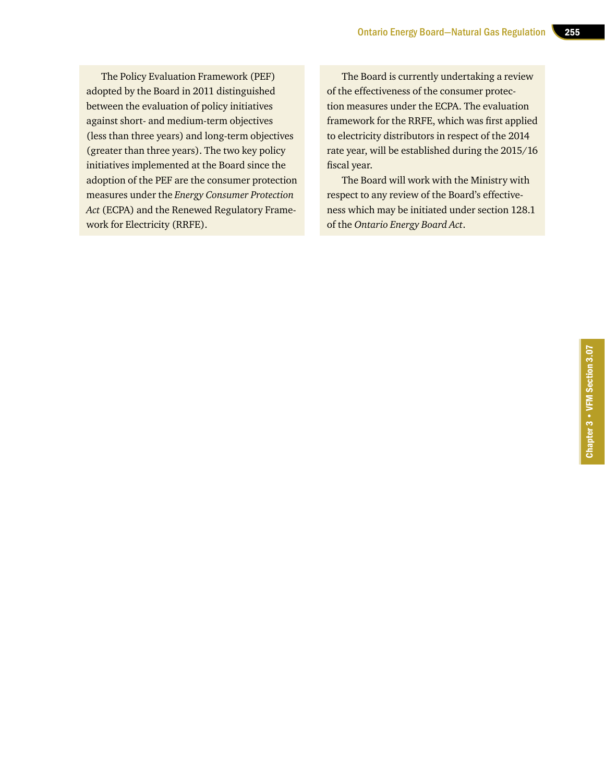The Policy Evaluation Framework (PEF) adopted by the Board in 2011 distinguished between the evaluation of policy initiatives against short- and medium-term objectives (less than three years) and long-term objectives (greater than three years). The two key policy initiatives implemented at the Board since the adoption of the PEF are the consumer protection measures under the *Energy Consumer Protection Act* (ECPA) and the Renewed Regulatory Framework for Electricity (RRFE).

The Board is currently undertaking a review of the effectiveness of the consumer protection measures under the ECPA. The evaluation framework for the RRFE, which was first applied to electricity distributors in respect of the 2014 rate year, will be established during the 2015/16 fiscal year.

The Board will work with the Ministry with respect to any review of the Board's effectiveness which may be initiated under section 128.1 of the *Ontario Energy Board Act*.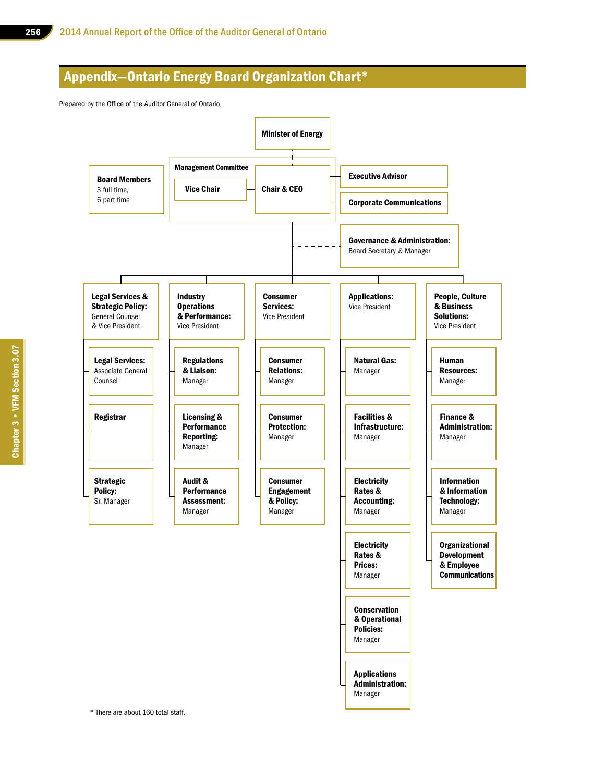## Appendix—Ontario Energy Board Organization Chart\*

Prepared by the Office of the Auditor General of Ontario